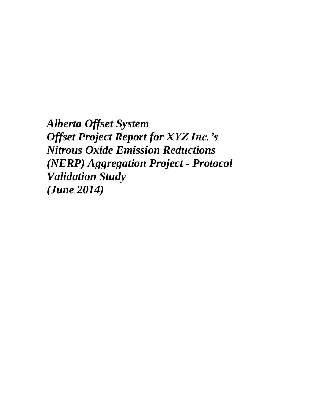*Alberta Offset System Offset Project Report for XYZ Inc.'s Nitrous Oxide Emission Reductions (NERP) Aggregation Project - Protocol Validation Study (June 2014)*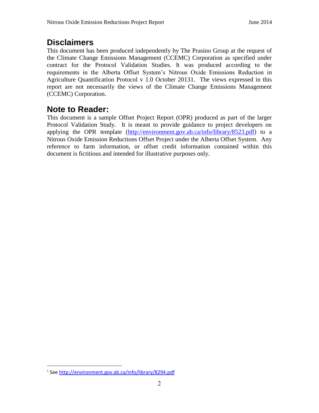# **Disclaimers**

This document has been produced independently by The Prasino Group at the request of the Climate Change Emissions Management (CCEMC) Corporation as specified under contract for the Protocol Validation Studies. It was produced according to the requirements in the Alberta Offset System's Nitrous Oxide Emissions Reduction in Agriculture Quantification Protocol v 1.0 October 20131. The views expressed in this report are not necessarily the views of the Climate Change Emissions Management (CCEMC) Corporation.

# **Note to Reader:**

This document is a sample Offset Project Report (OPR) produced as part of the larger Protocol Validation Study. It is meant to provide guidance to project developers on applying the OPR template [\(http://environment.gov.ab.ca/info/library/8523.pdf\)](http://environment.gov.ab.ca/info/library/8523.pdf) to a Nitrous Oxide Emission Reductions Offset Project under the Alberta Offset System. Any reference to farm information, or offset credit information contained within this document is fictitious and intended for illustrative purposes only.

 $\overline{a}$ 

<sup>1</sup> Se[e http://environment.gov.ab.ca/info/library/8294.pdf](http://environment.gov.ab.ca/info/library/8294.pdf)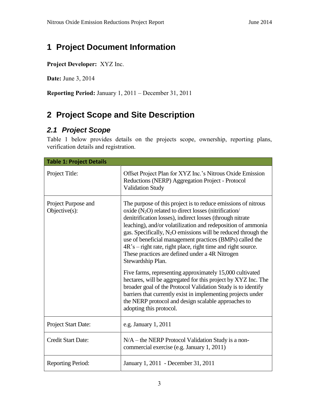# **1 Project Document Information**

**Project Developer:** XYZ Inc.

**Date:** June 3, 2014

**Reporting Period:** January 1, 2011 – December 31, 2011

# **2 Project Scope and Site Description**

# *2.1 Project Scope*

Table 1 below provides details on the projects scope, ownership, reporting plans, verification details and registration.

| <b>Table 1: Project Details</b>      |                                                                                                                                                                                                                                                                                                                                                                                                                                                                                                                                                                                                                                                                                                                                                                                                                                                                                         |  |  |
|--------------------------------------|-----------------------------------------------------------------------------------------------------------------------------------------------------------------------------------------------------------------------------------------------------------------------------------------------------------------------------------------------------------------------------------------------------------------------------------------------------------------------------------------------------------------------------------------------------------------------------------------------------------------------------------------------------------------------------------------------------------------------------------------------------------------------------------------------------------------------------------------------------------------------------------------|--|--|
| Project Title:                       | Offset Project Plan for XYZ Inc.'s Nitrous Oxide Emission<br>Reductions (NERP) Aggregation Project - Protocol<br><b>Validation Study</b>                                                                                                                                                                                                                                                                                                                                                                                                                                                                                                                                                                                                                                                                                                                                                |  |  |
| Project Purpose and<br>Objective(s): | The purpose of this project is to reduce emissions of nitrous<br>oxide $(N_2O)$ related to direct losses (nitrification/<br>denitrification losses), indirect losses (through nitrate<br>leaching), and/or volatilization and redeposition of ammonia<br>gas. Specifically, N <sub>2</sub> O emissions will be reduced through the<br>use of beneficial management practices (BMPs) called the<br>$4R's$ – right rate, right place, right time and right source.<br>These practices are defined under a 4R Nitrogen<br>Stewardship Plan.<br>Five farms, representing approximately 15,000 cultivated<br>hectares, will be aggregated for this project by XYZ Inc. The<br>broader goal of the Protocol Validation Study is to identify<br>barriers that currently exist in implementing projects under<br>the NERP protocol and design scalable approaches to<br>adopting this protocol. |  |  |
| Project Start Date:                  | e.g. January 1, 2011                                                                                                                                                                                                                                                                                                                                                                                                                                                                                                                                                                                                                                                                                                                                                                                                                                                                    |  |  |
| <b>Credit Start Date:</b>            | $N/A$ – the NERP Protocol Validation Study is a non-<br>commercial exercise (e.g. January 1, 2011)                                                                                                                                                                                                                                                                                                                                                                                                                                                                                                                                                                                                                                                                                                                                                                                      |  |  |
| <b>Reporting Period:</b>             | January 1, 2011 - December 31, 2011                                                                                                                                                                                                                                                                                                                                                                                                                                                                                                                                                                                                                                                                                                                                                                                                                                                     |  |  |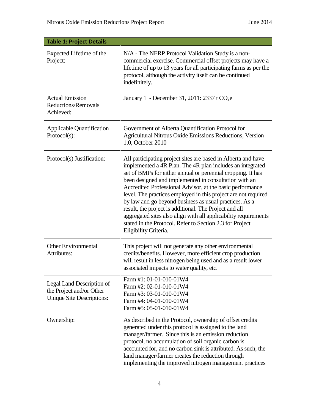| <b>Table 1: Project Details</b>                                                           |                                                                                                                                                                                                                                                                                                                                                                                                                                                                                                                                                                                                                                                               |  |  |
|-------------------------------------------------------------------------------------------|---------------------------------------------------------------------------------------------------------------------------------------------------------------------------------------------------------------------------------------------------------------------------------------------------------------------------------------------------------------------------------------------------------------------------------------------------------------------------------------------------------------------------------------------------------------------------------------------------------------------------------------------------------------|--|--|
| Expected Lifetime of the<br>Project:                                                      | N/A - The NERP Protocol Validation Study is a non-<br>commercial exercise. Commercial offset projects may have a<br>lifetime of up to 13 years for all participating farms as per the<br>protocol, although the activity itself can be continued<br>indefinitely.                                                                                                                                                                                                                                                                                                                                                                                             |  |  |
| <b>Actual Emission</b><br>Reductions/Removals<br>Achieved:                                | January 1 - December 31, 2011: 2337 t CO <sub>2</sub> e                                                                                                                                                                                                                                                                                                                                                                                                                                                                                                                                                                                                       |  |  |
| <b>Applicable Quantification</b><br>Protocol(s):                                          | Government of Alberta Quantification Protocol for<br>Agricultural Nitrous Oxide Emissions Reductions, Version<br>1.0, October 2010                                                                                                                                                                                                                                                                                                                                                                                                                                                                                                                            |  |  |
| Protocol(s) Justification:                                                                | All participating project sites are based in Alberta and have<br>implemented a 4R Plan. The 4R plan includes an integrated<br>set of BMPs for either annual or perennial cropping. It has<br>been designed and implemented in consultation with an<br>Accredited Professional Advisor, at the basic performance<br>level. The practices employed in this project are not required<br>by law and go beyond business as usual practices. As a<br>result, the project is additional. The Project and all<br>aggregated sites also align with all applicability requirements<br>stated in the Protocol. Refer to Section 2.3 for Project<br>Eligibility Criteria. |  |  |
| <b>Other Environmental</b><br>Attributes:                                                 | This project will not generate any other environmental<br>credits/benefits. However, more efficient crop production<br>will result in less nitrogen being used and as a result lower<br>associated impacts to water quality, etc.                                                                                                                                                                                                                                                                                                                                                                                                                             |  |  |
| Legal Land Description of<br>the Project and/or Other<br><b>Unique Site Descriptions:</b> | Farm #1: 01-01-010-01W4<br>Farm #2: 02-01-010-01W4<br>Farm #3: 03-01-010-01W4<br>Farm #4: 04-01-010-01W4<br>Farm #5: 05-01-010-01W4                                                                                                                                                                                                                                                                                                                                                                                                                                                                                                                           |  |  |
| Ownership:                                                                                | As described in the Protocol, ownership of offset credits<br>generated under this protocol is assigned to the land<br>manager/farmer. Since this is an emission reduction<br>protocol, no accumulation of soil organic carbon is<br>accounted for, and no carbon sink is attributed. As such, the<br>land manager/farmer creates the reduction through<br>implementing the improved nitrogen management practices                                                                                                                                                                                                                                             |  |  |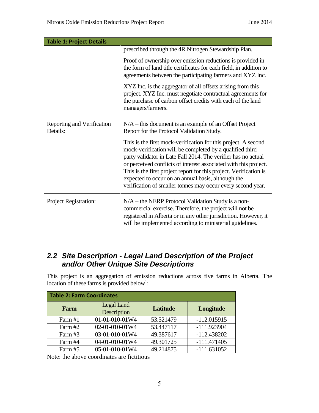| <b>Table 1: Project Details</b>        |                                                                                                                                                                                                                                                                                                                                                                                                                                                            |  |  |
|----------------------------------------|------------------------------------------------------------------------------------------------------------------------------------------------------------------------------------------------------------------------------------------------------------------------------------------------------------------------------------------------------------------------------------------------------------------------------------------------------------|--|--|
|                                        | prescribed through the 4R Nitrogen Stewardship Plan.                                                                                                                                                                                                                                                                                                                                                                                                       |  |  |
|                                        | Proof of ownership over emission reductions is provided in<br>the form of land title certificates for each field, in addition to<br>agreements between the participating farmers and XYZ Inc.                                                                                                                                                                                                                                                              |  |  |
|                                        | XYZ Inc. is the aggregator of all offsets arising from this<br>project. XYZ Inc. must negotiate contractual agreements for<br>the purchase of carbon offset credits with each of the land<br>managers/farmers.                                                                                                                                                                                                                                             |  |  |
| Reporting and Verification<br>Details: | $N/A$ – this document is an example of an Offset Project<br>Report for the Protocol Validation Study.                                                                                                                                                                                                                                                                                                                                                      |  |  |
|                                        | This is the first mock-verification for this project. A second<br>mock-verification will be completed by a qualified third<br>party validator in Late Fall 2014. The verifier has no actual<br>or perceived conflicts of interest associated with this project.<br>This is the first project report for this project. Verification is<br>expected to occur on an annual basis, although the<br>verification of smaller tonnes may occur every second year. |  |  |
| Project Registration:                  | N/A - the NERP Protocol Validation Study is a non-<br>commercial exercise. Therefore, the project will not be<br>registered in Alberta or in any other jurisdiction. However, it<br>will be implemented according to ministerial guidelines.                                                                                                                                                                                                               |  |  |

# *2.2 Site Description - Legal Land Description of the Project and/or Other Unique Site Descriptions*

This project is an aggregation of emission reductions across five farms in Alberta. The location of these farms is provided below<sup>1</sup>:

| Table 2: Farm Coordinates |                           |           |               |
|---------------------------|---------------------------|-----------|---------------|
| Farm                      | Legal Land<br>Description | Latitude  | Longitude     |
| Farm #1                   | 01-01-010-01W4            | 53.521479 | $-112.015915$ |
| Farm #2                   | 02-01-010-01W4            | 53.447117 | -111.923904   |
| Farm #3                   | 03-01-010-01W4            | 49.387617 | $-112.438202$ |
| Farm #4                   | 04-01-010-01W4            | 49.301725 | $-111.471405$ |
| Farm #5                   | 05-01-010-01W4            | 49.214875 | $-111.631052$ |

Note: the above coordinates are fictitious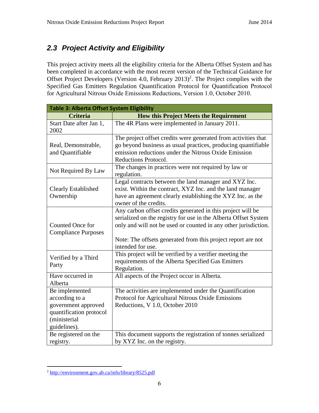# *2.3 Project Activity and Eligibility*

This project activity meets all the eligibility criteria for the Alberta Offset System and has been completed in accordance with the most recent version of the Technical Guidance for Offset Project Developers (Version 4.0, February 2013)<sup>2</sup>. The Project complies with the Specified Gas Emitters Regulation Quantification Protocol for Quantification Protocol for Agricultural Nitrous Oxide Emissions Reductions, Version 1.0, October 2010.

| Table 3: Alberta Offset System Eligibility                                                                         |                                                                                                                                                                                                                                                                                        |  |  |
|--------------------------------------------------------------------------------------------------------------------|----------------------------------------------------------------------------------------------------------------------------------------------------------------------------------------------------------------------------------------------------------------------------------------|--|--|
| <b>Criteria</b><br><b>How this Project Meets the Requirement</b>                                                   |                                                                                                                                                                                                                                                                                        |  |  |
| Start Date after Jan 1,<br>2002                                                                                    | The 4R Plans were implemented in January 2011.                                                                                                                                                                                                                                         |  |  |
| Real, Demonstrable,<br>and Quantifiable                                                                            | The project offset credits were generated from activities that<br>go beyond business as usual practices, producing quantifiable<br>emission reductions under the Nitrous Oxide Emission<br>Reductions Protocol.                                                                        |  |  |
| Not Required By Law                                                                                                | The changes in practices were not required by law or<br>regulation.                                                                                                                                                                                                                    |  |  |
| <b>Clearly Established</b><br>Ownership                                                                            | Legal contracts between the land manager and XYZ Inc.<br>exist. Within the contract, XYZ Inc. and the land manager<br>have an agreement clearly establishing the XYZ Inc. as the<br>owner of the credits.                                                                              |  |  |
| <b>Counted Once for</b><br><b>Compliance Purposes</b>                                                              | Any carbon offset credits generated in this project will be<br>serialized on the registry for use in the Alberta Offset System<br>only and will not be used or counted in any other jurisdiction.<br>Note: The offsets generated from this project report are not<br>intended for use. |  |  |
| Verified by a Third<br>Party                                                                                       | This project will be verified by a verifier meeting the<br>requirements of the Alberta Specified Gas Emitters<br>Regulation.                                                                                                                                                           |  |  |
| Have occurred in<br>Alberta                                                                                        | All aspects of the Project occur in Alberta.                                                                                                                                                                                                                                           |  |  |
| Be implemented<br>according to a<br>government approved<br>quantification protocol<br>(ministerial<br>guidelines). | The activities are implemented under the Quantification<br>Protocol for Agricultural Nitrous Oxide Emissions<br>Reductions, V 1.0, October 2010                                                                                                                                        |  |  |
| Be registered on the<br>registry.                                                                                  | This document supports the registration of tonnes serialized<br>by XYZ Inc. on the registry.                                                                                                                                                                                           |  |  |

 $\overline{a}$ <sup>2</sup> <http://environment.gov.ab.ca/info/library/8525.pdf>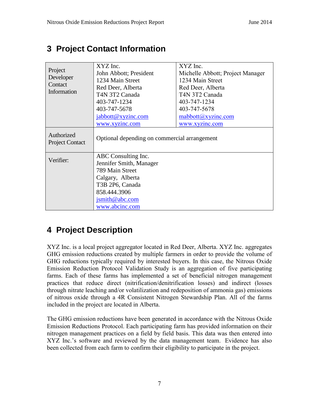|                                      | XYZ Inc.                                     | $XYZ$ Inc.                       |  |
|--------------------------------------|----------------------------------------------|----------------------------------|--|
| Project                              | John Abbott; President                       | Michelle Abbott; Project Manager |  |
| Developer                            | 1234 Main Street<br>1234 Main Street         |                                  |  |
| Contact                              | Red Deer, Alberta                            | Red Deer, Alberta                |  |
| Information                          | T4N 3T2 Canada                               | T4N 3T2 Canada                   |  |
|                                      | 403-747-1234                                 | 403-747-1234                     |  |
|                                      | 403-747-5678                                 | 403-747-5678                     |  |
|                                      | jabbott@xyzinc.com                           | mabbott(a)xyzinc.com             |  |
|                                      | www.xyzinc.com                               | www.xyzinc.com                   |  |
| Authorized<br><b>Project Contact</b> | Optional depending on commercial arrangement |                                  |  |
| ABC Consulting Inc.                  |                                              |                                  |  |
| Verifier:                            | Jennifer Smith, Manager                      |                                  |  |
|                                      | 789 Main Street                              |                                  |  |
|                                      | Calgary, Alberta                             |                                  |  |
|                                      | T3B 2P6, Canada                              |                                  |  |
|                                      | 858.444.3906                                 |                                  |  |
|                                      | jsmith@abc.com                               |                                  |  |
|                                      | www.abcinc.com                               |                                  |  |

# **3 Project Contact Information**

# **4 Project Description**

XYZ Inc. is a local project aggregator located in Red Deer, Alberta. XYZ Inc. aggregates GHG emission reductions created by multiple farmers in order to provide the volume of GHG reductions typically required by interested buyers. In this case, the Nitrous Oxide Emission Reduction Protocol Validation Study is an aggregation of five participating farms. Each of these farms has implemented a set of beneficial nitrogen management practices that reduce direct (nitrification/denitrification losses) and indirect (losses through nitrate leaching and/or volatilization and redeposition of ammonia gas) emissions of nitrous oxide through a 4R Consistent Nitrogen Stewardship Plan. All of the farms included in the project are located in Alberta.

The GHG emission reductions have been generated in accordance with the Nitrous Oxide Emission Reductions Protocol. Each participating farm has provided information on their nitrogen management practices on a field by field basis. This data was then entered into XYZ Inc.'s software and reviewed by the data management team. Evidence has also been collected from each farm to confirm their eligibility to participate in the project.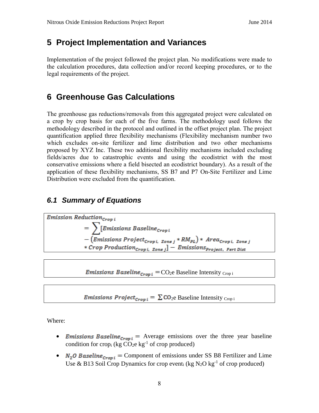# **5 Project Implementation and Variances**

Implementation of the project followed the project plan. No modifications were made to the calculation procedures, data collection and/or record keeping procedures, or to the legal requirements of the project.

# **6 Greenhouse Gas Calculations**

The greenhouse gas reductions/removals from this aggregated project were calculated on a crop by crop basis for each of the five farms. The methodology used follows the methodology described in the protocol and outlined in the offset project plan. The project quantification applied three flexibility mechanisms (Flexibility mechanism number two which excludes on-site fertilizer and lime distribution and two other mechanisms proposed by XYZ Inc. These two additional flexibility mechanisms included excluding fields/acres due to catastrophic events and using the ecodistrict with the most conservative emissions where a field bisected an ecodistrict boundary). As a result of the application of these flexibility mechanisms, SS B7 and P7 On-Site Fertilizer and Lime Distribution were excluded from the quantification.

# *6.1 Summary of Equations*

Emission Reduction<sub>Croni</sub> =  $\sum$ [Emissions Baseline<sub>Cropi</sub><br>- (Emissions Project<sub>Cropi, Zone j</sub> \* RM<sub>PL</sub>) \* Area<sub>Cropi, Zone j</sub> \* Crop Production<sub>Cropi</sub>,  $_{\text{Zone } j}$ ] - Emissions<sub>Project, Fert Dist</sub>

*Emissions Baseline*<sub>Crop i</sub> =  $CO<sub>2</sub>e$  Baseline Intensity <sub>Crop i</sub>

*Emissions Project<sub>Cropi</sub>* =  $\sum CO_2$ e Baseline Intensity <sub>Cropi</sub>

Where:

- **Emissions Baseline**<sub>Croni</sub> = Average emissions over the three year baseline condition for crop<sub>i</sub> (kg  $CO<sub>2</sub>e$  kg<sup>-1</sup> of crop produced)
- $N_2O$  Baseline<sub>Cropi</sub> = Component of emissions under SS B8 Fertilizer and Lime Use & B13 Soil Crop Dynamics for crop event<sub>i</sub> (kg N<sub>2</sub>O kg<sup>-1</sup> of crop produced)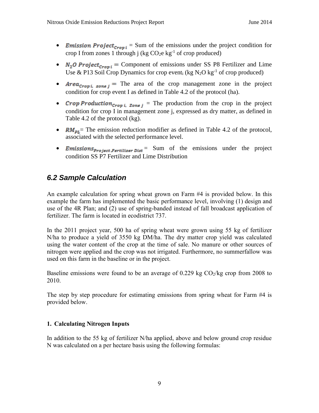- *Emission Project<sub>Cropi</sub>* = Sum of the emissions under the project condition for crop I from zones 1 through j (kg  $CO<sub>2</sub>e$  kg<sup>-1</sup> of crop produced)
- $N_2O$  Project<sub>Cropi</sub> = Component of emissions under SS P8 Fertilizer and Lime Use & P13 Soil Crop Dynamics for crop event<sub>i</sub> (kg  $N_2O$  kg<sup>-1</sup> of crop produced)
- Area<sub>cropi, zone j</sub> = The area of the crop management zone in the project condition for crop event I as defined in Table 4.2 of the protocol (ha).
- Crop Production<sub>Crop i, Zone j</sub> = The production from the crop in the project condition for crop I in management zone j, expressed as dry matter, as defined in Table 4.2 of the protocol (kg).
- $RM_{\text{p1}}$  The emission reduction modifier as defined in Table 4.2 of the protocol, associated with the selected performance level.
- $\bullet$  Emissions  $p_{reject,FertilizerDist} = Sum$  of the emissions under the project condition SS P7 Fertilizer and Lime Distribution

# *6.2 Sample Calculation*

An example calculation for spring wheat grown on Farm #4 is provided below. In this example the farm has implemented the basic performance level, involving (1) design and use of the 4R Plan; and (2) use of spring-banded instead of fall broadcast application of fertilizer. The farm is located in ecodistrict 737.

In the 2011 project year, 500 ha of spring wheat were grown using 55 kg of fertilizer N/ha to produce a yield of 3550 kg DM/ha. The dry matter crop yield was calculated using the water content of the crop at the time of sale. No manure or other sources of nitrogen were applied and the crop was not irrigated. Furthermore, no summerfallow was used on this farm in the baseline or in the project.

Baseline emissions were found to be an average of  $0.229 \text{ kg } CO<sub>2</sub>/kg$  crop from 2008 to 2010.

The step by step procedure for estimating emissions from spring wheat for Farm #4 is provided below.

# **1. Calculating Nitrogen Inputs**

In addition to the 55 kg of fertilizer N/ha applied, above and below ground crop residue N was calculated on a per hectare basis using the following formulas: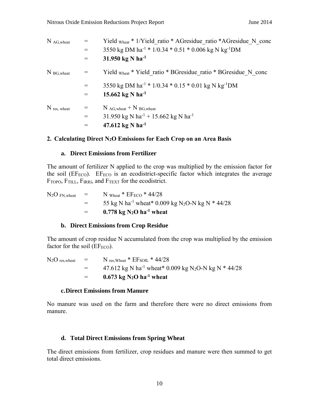| N AG, wheat    |     | Yield <sub>Wheat</sub> * 1/Yield ratio * AGresidue ratio * AGresidue N conc  |
|----------------|-----|------------------------------------------------------------------------------|
|                | $=$ | 3550 kg DM ha <sup>-1</sup> * 1/0.34 * 0.51 * 0.006 kg N kg <sup>-1</sup> DM |
|                | $=$ | 31.950 kg N ha <sup>-1</sup>                                                 |
| $N_{BG,wheel}$ |     | Yield <sub>Wheat</sub> * Yield ratio * BGresidue ratio * BGresidue N conc    |
|                |     | 3550 kg DM ha <sup>-1</sup> * 1/0.34 * 0.15 * 0.01 kg N kg <sup>-1</sup> DM  |
|                | $=$ | 15.662 kg N ha <sup>-1</sup>                                                 |
| $N$ res, wheat |     | $N_{AG,wheel} + N_{BG,wheel}$                                                |
|                | $=$ | 31.950 kg N ha <sup>-1</sup> + 15.662 kg N ha <sup>-1</sup>                  |
|                |     | 47.612 kg N ha <sup>-1</sup>                                                 |

### **2. Calculating Direct N2O Emissions for Each Crop on an Area Basis**

#### **a. Direct Emissions from Fertilizer**

The amount of fertilizer N applied to the crop was multiplied by the emission factor for the soil ( $EF_{ECO}$ ).  $EF_{ECO}$  is an ecodistrict-specific factor which integrates the average  $F_{\text{TOPO}}$ ,  $F_{\text{TLL}}$ ,  $F_{\text{IRRI}}$ , and  $F_{\text{TEXT}}$  for the ecodistrict.

N2O FN,wheat = N Wheat \* EFECO \* 44/28 = 55 kg N ha-1 wheat\* 0.009 kg N2O-N kg N \* 44/28 = **0.778 kg N2O ha-1 wheat**

#### **b. Direct Emissions from Crop Residue**

The amount of crop residue N accumulated from the crop was multiplied by the emission factor for the soil ( $EF_{ECO}$ ).

N<sub>2</sub>O res, wheat = N res, Wheat \* EFsol: \* 
$$
44/28
$$
  
= 47.612 kg N ha<sup>-1</sup> wheat \* 0.009 kg N<sub>2</sub>O-N kg N \*  $44/28$   
= 0.673 kg N<sub>2</sub>O ha<sup>-1</sup> wheat

#### **c.Direct Emissions from Manure**

No manure was used on the farm and therefore there were no direct emissions from manure.

## **d. Total Direct Emissions from Spring Wheat**

The direct emissions from fertilizer, crop residues and manure were then summed to get total direct emissions.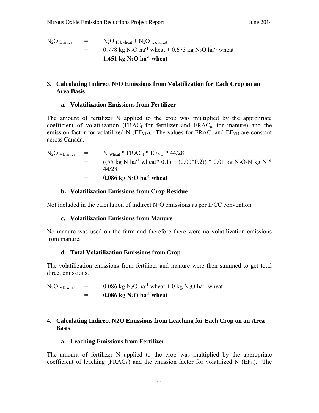$N_2O_{\text{D,wheat}}$  =  $N_2O_{\text{FN,wheat}} + N_2O_{\text{res,wheat}}$  $=$  0.778 kg N<sub>2</sub>O ha<sup>-1</sup> wheat + 0.673 kg N<sub>2</sub>O ha<sup>-1</sup> wheat = **1.451 kg N2O ha-1 wheat**

## **3. Calculating Indirect N2O Emissions from Volatilization for Each Crop on an Area Basis**

#### **a. Volatilization Emissions from Fertilizer**

The amount of fertilizer N applied to the crop was multiplied by the appropriate coefficient of volatilization (FRAC<sub>f</sub> for fertilizer and FRAC<sub>m</sub> for manure) and the emission factor for volatilized N ( $EF<sub>VD</sub>$ ). The values for  $FRAC<sub>f</sub>$  and  $EF<sub>VD</sub>$  are constant across Canada.

 $N_2O$   $VD$ , wheat  $=$  N wheat  $*$  FRAC<sub>f</sub>  $*$  EF<sub>VD</sub>  $*$  44/28  $=$  ((55 kg N ha<sup>-1</sup> wheat\* 0.1) + (0.00\*0.2)) \* 0.01 kg N<sub>2</sub>O-N kg N \* 44/28 = **0.086 kg N2O ha-1 wheat**

#### **b. Volatilization Emissions from Crop Residue**

Not included in the calculation of indirect  $N_2O$  emissions as per IPCC convention.

## **c. Volatilization Emissions from Manure**

No manure was used on the farm and therefore there were no volatilization emissions from manure.

## **d. Total Volatilization Emissions from Crop**

The volatilization emissions from fertilizer and manure were then summed to get total direct emissions.

 $N_2O$  <sub>VD, wheat</sub> = 0.086 kg N<sub>2</sub>O ha<sup>-1</sup> wheat + 0 kg N<sub>2</sub>O ha<sup>-1</sup> wheat  $=$  **0.086** kg N<sub>2</sub>**O** ha<sup>-1</sup> wheat

## **4. Calculating Indirect N2O Emissions from Leaching for Each Crop on an Area Basis**

## **a. Leaching Emissions from Fertilizer**

The amount of fertilizer N applied to the crop was multiplied by the appropriate coefficient of leaching (FRAC<sub>L</sub>) and the emission factor for volatilized N (EF<sub>L</sub>). The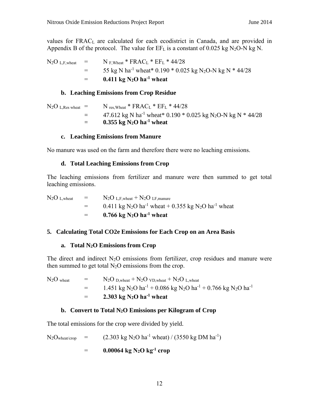$N_2O$  L,F,wheat =  $N$  F, Wheat \* FRAC<sub>L</sub> \* EF<sub>L</sub> \* 44/28  $=$  55 kg N ha<sup>-1</sup> wheat\* 0.190 \* 0.025 kg N<sub>2</sub>O-N kg N \* 44/28  $=$  **0.411 kg** N<sub>2</sub>**O** ha<sup>-1</sup> wheat

#### **b. Leaching Emissions from Crop Residue**

N2O L,Res wheat = N res,Wheat \* FRAC<sup>L</sup> \* EF<sup>L</sup> \* 44/28 = 47.612 kg N ha-1 wheat\* 0.190 \* 0.025 kg N2O-N kg N \* 44/28 = **0.355 kg N2O ha-1 wheat**

#### **c. Leaching Emissions from Manure**

No manure was used on the farm and therefore there were no leaching emissions.

## **d. Total Leaching Emissions from Crop**

The leaching emissions from fertilizer and manure were then summed to get total leaching emissions.

 $N_2O$  L, wheat  $= N_2O$  L, F, wheat  $+ N_2O$  LF, manure  $=$  0.411 kg N<sub>2</sub>O ha<sup>-1</sup> wheat + 0.355 kg N<sub>2</sub>O ha<sup>-1</sup> wheat  $=$  **0.766** kg N<sub>2</sub>**O** ha<sup>-1</sup> wheat

## **5. Calculating Total CO2e Emissions for Each Crop on an Area Basis**

## **a. Total N2O Emissions from Crop**

The direct and indirect  $N_2O$  emissions from fertilizer, crop residues and manure were then summed to get total  $N_2O$  emissions from the crop.

 $N_2O$  wheat  $= N_2O_{D,wheat} + N_2O_{VD,wheat} + N_2O_{L,wheat}$ = 1.451 kg N<sub>2</sub>O ha<sup>-1</sup> + 0.086 kg N<sub>2</sub>O ha<sup>-1</sup> + 0.766 kg N<sub>2</sub>O ha<sup>-1</sup>  $= 2.303 \text{ kg N}_2\text{O} \text{h} \text{a}^{-1} \text{ wheat}$ 

## **b. Convert to Total N2O Emissions per Kilogram of Crop**

The total emissions for the crop were divided by yield.

$$
N_2O_{wheat/crop} = (2.303 \text{ kg N}_2O \text{ ha}^{-1} \text{ wheat}) / (3550 \text{ kg DM ha}^{-1})
$$
  
= **0.00064 kg N}\_2O kg<sup>-1</sup> crop**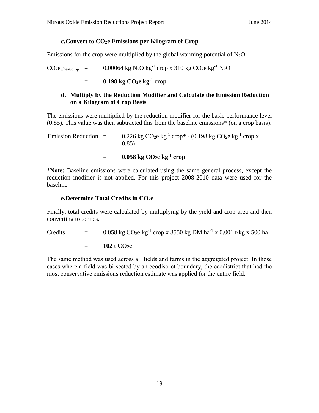## **c.Convert to CO2e Emissions per Kilogram of Crop**

Emissions for the crop were multiplied by the global warming potential of  $N_2O$ .

 $CO_2e_{wheat/crop}$  = 0.00064 kg N<sub>2</sub>O kg<sup>-1</sup> crop x 310 kg CO<sub>2</sub>e kg<sup>-1</sup> N<sub>2</sub>O

 $=$  **0.198 kg**  $CO_2e$  **kg**<sup>-1</sup> **crop** 

## **d. Multiply by the Reduction Modifier and Calculate the Emission Reduction on a Kilogram of Crop Basis**

The emissions were multiplied by the reduction modifier for the basic performance level (0.85). This value was then subtracted this from the baseline emissions\* (on a crop basis).

Emission Reduction =  $0.226 \text{ kg CO}_2$ e kg<sup>-1</sup> crop\* -  $(0.198 \text{ kg CO}_2$ e kg<sup>-1</sup> crop x 0.85)

## $= 0.058 \text{ kg CO}_2\text{e kg}^{-1} \text{ crop}$

\***Note:** Baseline emissions were calculated using the same general process, except the reduction modifier is not applied. For this project 2008-2010 data were used for the baseline.

## **e.Determine Total Credits in CO2e**

Finally, total credits were calculated by multiplying by the yield and crop area and then converting to tonnes.

Credits  $= 0.058 \text{ kg CO}_2 \text{e kg}^{-1}$  crop x 3550 kg DM ha<sup>-1</sup> x 0.001 t/kg x 500 ha

 $=$  **102 t** CO<sub>2</sub>**e** 

The same method was used across all fields and farms in the aggregated project. In those cases where a field was bi-sected by an ecodistrict boundary, the ecodistrict that had the most conservative emissions reduction estimate was applied for the entire field.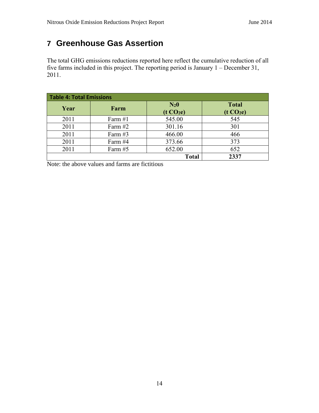# **7 Greenhouse Gas Assertion**

The total GHG emissions reductions reported here reflect the cumulative reduction of all five farms included in this project. The reporting period is January 1 – December 31, 2011.

| <b>Table 4: Total Emissions</b> |           |                                 |                                       |
|---------------------------------|-----------|---------------------------------|---------------------------------------|
| Year                            | Farm      | $N_20$<br>(t CO <sub>2</sub> e) | <b>Total</b><br>(t CO <sub>2</sub> e) |
| 2011                            | Farm #1   | 545.00                          | 545                                   |
| 2011                            | Farm $#2$ | 301.16                          | 301                                   |
| 2011                            | Farm #3   | 466.00                          | 466                                   |
| 2011                            | Farm $#4$ | 373.66                          | 373                                   |
| 2011                            | Farm #5   | 652.00                          | 652                                   |
|                                 |           | <b>Total</b>                    | 2337                                  |

Note: the above values and farms are fictitious